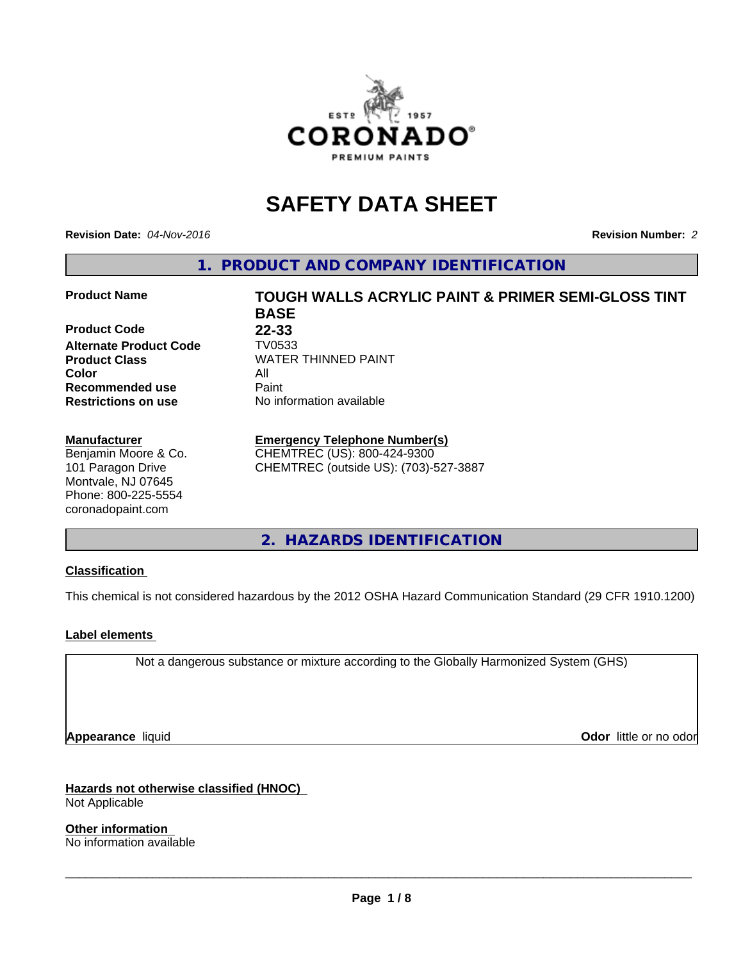

# **SAFETY DATA SHEET**

**Revision Date:** *04-Nov-2016* **Revision Number:** *2*

**1. PRODUCT AND COMPANY IDENTIFICATION**

### **Product Name TOUGH WALLS ACRYLIC PAINT & PRIMER SEMI-GLOSS TINT**

**Product Code 22-33 Alternate Product Code TV0533**<br>Product Class WATER **Color** All **Recommended use** Paint<br> **Restrictions on use** No inf

#### **Manufacturer**

Benjamin Moore & Co. 101 Paragon Drive Montvale, NJ 07645 Phone: 800-225-5554 coronadopaint.com

**BASE Product Class** WATER THINNED PAINT<br>
Color **No information available** 

## **Emergency Telephone Number(s)**

CHEMTREC (US): 800-424-9300 CHEMTREC (outside US): (703)-527-3887

**2. HAZARDS IDENTIFICATION**

## **Classification**

This chemical is not considered hazardous by the 2012 OSHA Hazard Communication Standard (29 CFR 1910.1200)

## **Label elements**

Not a dangerous substance or mixture according to the Globally Harmonized System (GHS)

**Appearance** liquid **Contract Contract Contract Contract Contract Contract Contract Contract Contract Contract Contract Contract Contract Contract Contract Contract Contract Contract Contract Contract Contract Contract Con** 

**Hazards not otherwise classified (HNOC)** Not Applicable

**Other information** No information available

 $\overline{\phantom{a}}$  ,  $\overline{\phantom{a}}$  ,  $\overline{\phantom{a}}$  ,  $\overline{\phantom{a}}$  ,  $\overline{\phantom{a}}$  ,  $\overline{\phantom{a}}$  ,  $\overline{\phantom{a}}$  ,  $\overline{\phantom{a}}$  ,  $\overline{\phantom{a}}$  ,  $\overline{\phantom{a}}$  ,  $\overline{\phantom{a}}$  ,  $\overline{\phantom{a}}$  ,  $\overline{\phantom{a}}$  ,  $\overline{\phantom{a}}$  ,  $\overline{\phantom{a}}$  ,  $\overline{\phantom{a}}$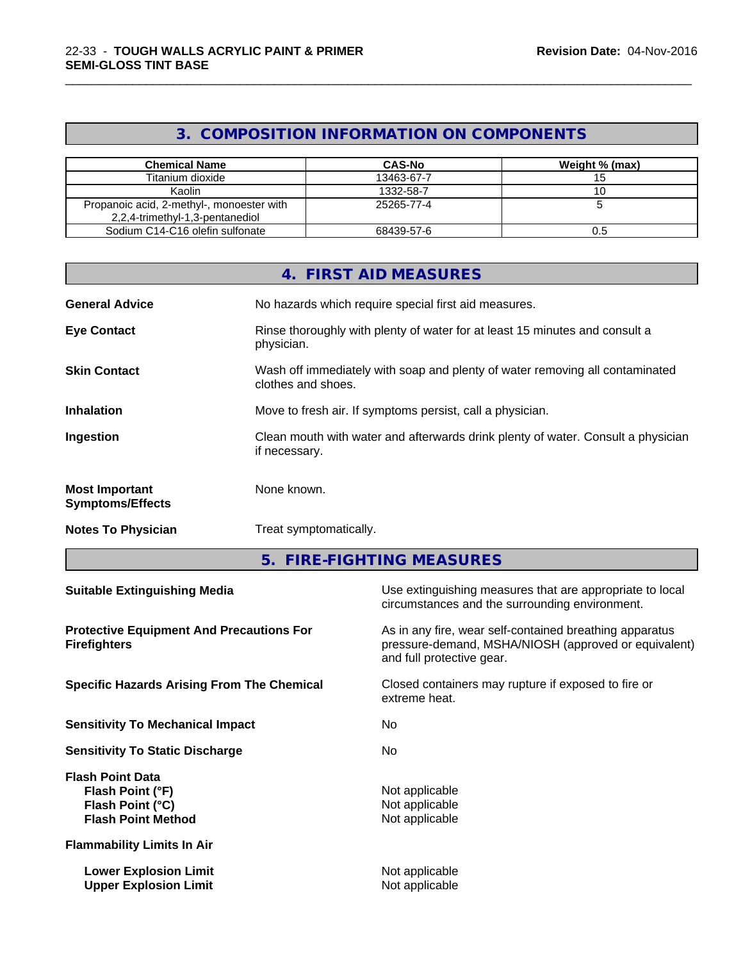## **3. COMPOSITION INFORMATION ON COMPONENTS**

\_\_\_\_\_\_\_\_\_\_\_\_\_\_\_\_\_\_\_\_\_\_\_\_\_\_\_\_\_\_\_\_\_\_\_\_\_\_\_\_\_\_\_\_\_\_\_\_\_\_\_\_\_\_\_\_\_\_\_\_\_\_\_\_\_\_\_\_\_\_\_\_\_\_\_\_\_\_\_\_\_\_\_\_\_\_\_\_\_\_\_\_\_

| <b>Chemical Name</b>                                                         | <b>CAS-No</b> | Weight % (max) |
|------------------------------------------------------------------------------|---------------|----------------|
| Titanium dioxide                                                             | 13463-67-7    |                |
| Kaolin                                                                       | 1332-58-7     |                |
| Propanoic acid, 2-methyl-, monoester with<br>2,2,4-trimethyl-1,3-pentanediol | 25265-77-4    |                |
| Sodium C14-C16 olefin sulfonate                                              | 68439-57-6    |                |

|                                                  | 4. FIRST AID MEASURES                                                                              |
|--------------------------------------------------|----------------------------------------------------------------------------------------------------|
| <b>General Advice</b>                            | No hazards which require special first aid measures.                                               |
| <b>Eye Contact</b>                               | Rinse thoroughly with plenty of water for at least 15 minutes and consult a<br>physician.          |
| <b>Skin Contact</b>                              | Wash off immediately with soap and plenty of water removing all contaminated<br>clothes and shoes. |
| <b>Inhalation</b>                                | Move to fresh air. If symptoms persist, call a physician.                                          |
| Ingestion                                        | Clean mouth with water and afterwards drink plenty of water. Consult a physician<br>if necessary.  |
| <b>Most Important</b><br><b>Symptoms/Effects</b> | None known.                                                                                        |
| <b>Notes To Physician</b>                        | Treat symptomatically.                                                                             |

**5. FIRE-FIGHTING MEASURES**

| Use extinguishing measures that are appropriate to local<br>circumstances and the surrounding environment.                                   |
|----------------------------------------------------------------------------------------------------------------------------------------------|
| As in any fire, wear self-contained breathing apparatus<br>pressure-demand, MSHA/NIOSH (approved or equivalent)<br>and full protective gear. |
| Closed containers may rupture if exposed to fire or<br>extreme heat.                                                                         |
| No.                                                                                                                                          |
| No.                                                                                                                                          |
| Not applicable<br>Not applicable<br>Not applicable                                                                                           |
|                                                                                                                                              |
| Not applicable<br>Not applicable                                                                                                             |
|                                                                                                                                              |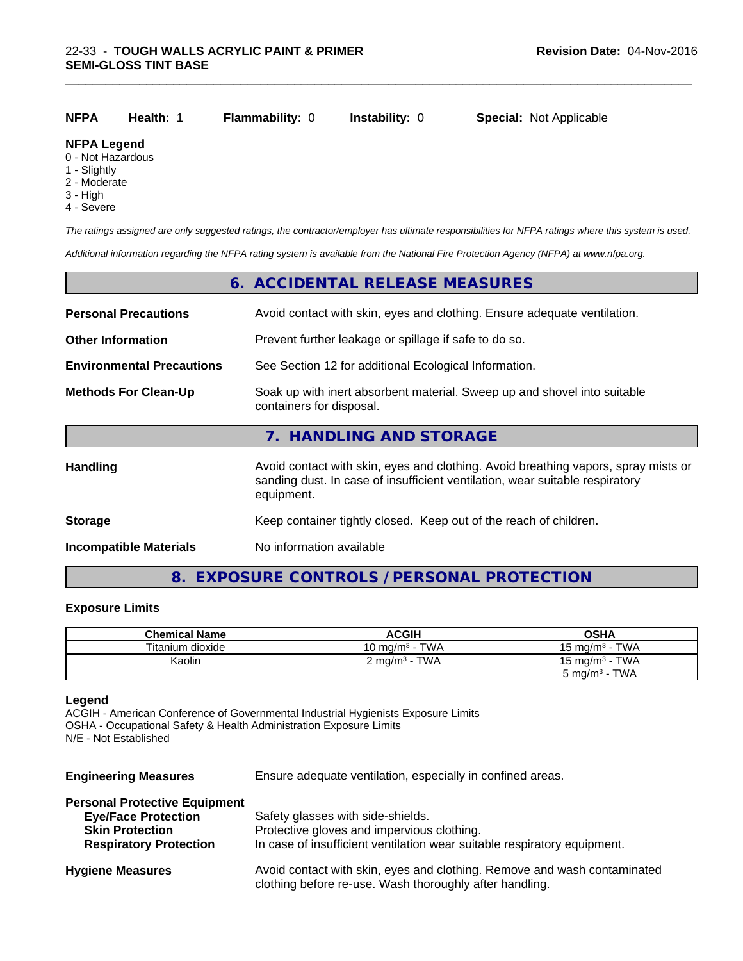| NFPA | <b>Health: 1</b> | <b>Flammability: 0</b> | <b>Instability: 0</b> | <b>Special: Not Applicable</b> |
|------|------------------|------------------------|-----------------------|--------------------------------|
|      |                  |                        |                       |                                |

\_\_\_\_\_\_\_\_\_\_\_\_\_\_\_\_\_\_\_\_\_\_\_\_\_\_\_\_\_\_\_\_\_\_\_\_\_\_\_\_\_\_\_\_\_\_\_\_\_\_\_\_\_\_\_\_\_\_\_\_\_\_\_\_\_\_\_\_\_\_\_\_\_\_\_\_\_\_\_\_\_\_\_\_\_\_\_\_\_\_\_\_\_

#### **NFPA Legend**

- 0 Not Hazardous
- 1 Slightly
- 2 Moderate
- 3 High
- 4 Severe

*The ratings assigned are only suggested ratings, the contractor/employer has ultimate responsibilities for NFPA ratings where this system is used.*

*Additional information regarding the NFPA rating system is available from the National Fire Protection Agency (NFPA) at www.nfpa.org.*

|                                  | 6. ACCIDENTAL RELEASE MEASURES                                                                                                                                                   |
|----------------------------------|----------------------------------------------------------------------------------------------------------------------------------------------------------------------------------|
| <b>Personal Precautions</b>      | Avoid contact with skin, eyes and clothing. Ensure adequate ventilation.                                                                                                         |
| <b>Other Information</b>         | Prevent further leakage or spillage if safe to do so.                                                                                                                            |
| <b>Environmental Precautions</b> | See Section 12 for additional Ecological Information.                                                                                                                            |
| <b>Methods For Clean-Up</b>      | Soak up with inert absorbent material. Sweep up and shovel into suitable<br>containers for disposal.                                                                             |
|                                  | 7. HANDLING AND STORAGE                                                                                                                                                          |
| <b>Handling</b>                  | Avoid contact with skin, eyes and clothing. Avoid breathing vapors, spray mists or<br>sanding dust. In case of insufficient ventilation, wear suitable respiratory<br>equipment. |
| <b>Storage</b>                   | Keep container tightly closed. Keep out of the reach of children.                                                                                                                |
| Incompatible Materials           | No information available                                                                                                                                                         |

## **8. EXPOSURE CONTROLS / PERSONAL PROTECTION**

## **Exposure Limits**

| <b>Chemical Name</b> | <b>ACGIH</b>                      | OSHA                      |
|----------------------|-----------------------------------|---------------------------|
| Titanium dioxide     | - TWA<br>10 mg/m <sup>3</sup> - . | $15 \text{ mg/m}^3$ - TWA |
| Kaolin               | $2 \text{ mg/m}^3$ - TWA          | 15 mg/m $3$ - TWA         |
|                      |                                   | 5 mg/m <sup>3</sup> - TWA |

### **Legend**

ACGIH - American Conference of Governmental Industrial Hygienists Exposure Limits OSHA - Occupational Safety & Health Administration Exposure Limits N/E - Not Established

| <b>Engineering Measures</b>          | Ensure adequate ventilation, especially in confined areas.                                                                          |
|--------------------------------------|-------------------------------------------------------------------------------------------------------------------------------------|
| <b>Personal Protective Equipment</b> |                                                                                                                                     |
| <b>Eye/Face Protection</b>           | Safety glasses with side-shields.                                                                                                   |
| <b>Skin Protection</b>               | Protective gloves and impervious clothing.                                                                                          |
| <b>Respiratory Protection</b>        | In case of insufficient ventilation wear suitable respiratory equipment.                                                            |
| <b>Hygiene Measures</b>              | Avoid contact with skin, eyes and clothing. Remove and wash contaminated<br>clothing before re-use. Wash thoroughly after handling. |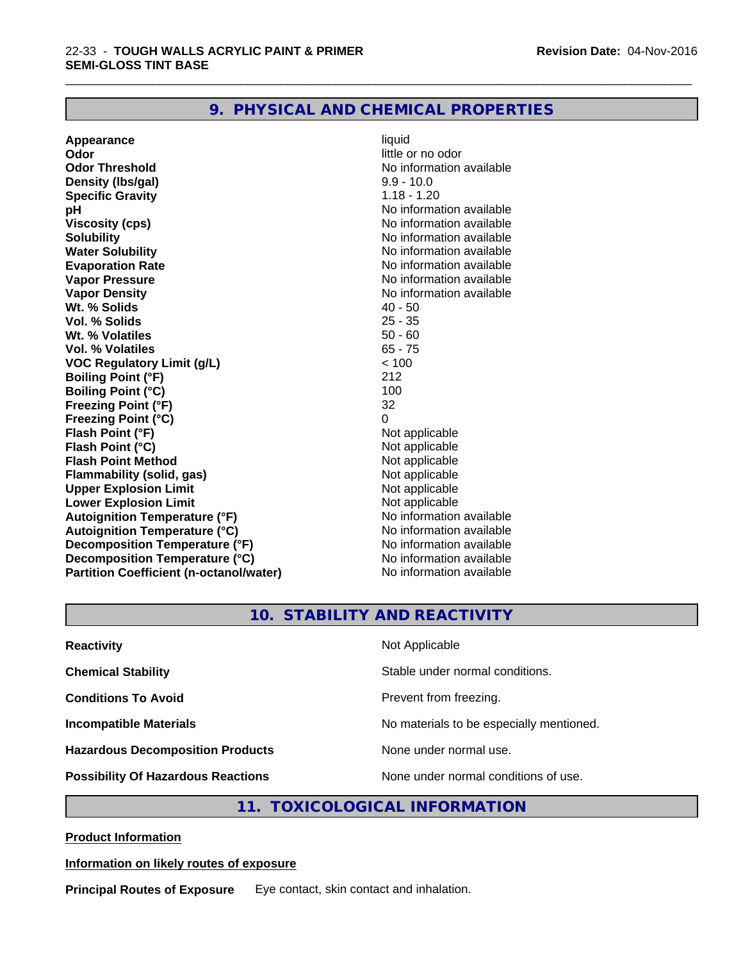## **9. PHYSICAL AND CHEMICAL PROPERTIES**

**Appearance** liquid **Odor** little or no odor **Odor Threshold No information available No information available Density (lbs/gal)** 9.9 - 10.0 **Specific Gravity** 1.18 - 1.20 **pH** No information available **Viscosity (cps)** No information available **Solubility Note 2008 Note 2008 Note 2008 Note 2008 Note 2008 Note 2008 Note 2008 Note 2008 Note 2008 Note 2008 Note 2008 Note 2008 Note 2008 Note 2008 Note 2008 Note 2008 Note 2008 Note Water Solubility No information available No information available Evaporation Rate No information available No information available Vapor Pressure** No information available **Vapor Density Vapor Density No information available Wt. % Solids** 40 - 50 **Vol. % Solids Wt. % Volatiles** 50 - 60 **Vol. % Volatiles** 65 - 75<br> **VOC Requiatory Limit (q/L)** 65 - 76 **VOC** Regulatory Limit (g/L) **Boiling Point (°F)** 212 **Boiling Point (°C)** 100<br> **Preezing Point (°F)** 32 **Freezing Point (°F) Freezing Point (°C)** 0 **Flash Point (°F)**<br> **Flash Point (°C)**<br> **Flash Point (°C)**<br> **C Flash Point (°C)**<br> **Flash Point Method**<br> **Flash Point Method**<br> **Point Method**<br> **Point Method**<br> **Point Method Flash Point Method Flammability (solid, gas)** Not applicable **Upper Explosion Limit Lower Explosion Limit Contract Accord Accord Accord Accord Accord Accord Accord Accord Accord Accord Accord Accord Accord Accord Accord Accord Accord Accord Accord Accord Accord Accord Accord Accord Accord Accord Accord Autoignition Temperature (°F)**<br> **Autoignition Temperature (°C)** No information available **Autoignition Temperature (°C) Decomposition Temperature (°F)** No information available **Decomposition Temperature (°C)** No information available<br> **Partition Coefficient (n-octanol/water)** No information available **Partition Coefficient (n-octanol/water)** 

\_\_\_\_\_\_\_\_\_\_\_\_\_\_\_\_\_\_\_\_\_\_\_\_\_\_\_\_\_\_\_\_\_\_\_\_\_\_\_\_\_\_\_\_\_\_\_\_\_\_\_\_\_\_\_\_\_\_\_\_\_\_\_\_\_\_\_\_\_\_\_\_\_\_\_\_\_\_\_\_\_\_\_\_\_\_\_\_\_\_\_\_\_

## **10. STABILITY AND REACTIVITY**

| <b>Reactivity</b>                         | Not Applicable                           |
|-------------------------------------------|------------------------------------------|
| <b>Chemical Stability</b>                 | Stable under normal conditions.          |
| <b>Conditions To Avoid</b>                | Prevent from freezing.                   |
| <b>Incompatible Materials</b>             | No materials to be especially mentioned. |
| <b>Hazardous Decomposition Products</b>   | None under normal use.                   |
| <b>Possibility Of Hazardous Reactions</b> | None under normal conditions of use.     |

## **11. TOXICOLOGICAL INFORMATION**

**Product Information**

### **Information on likely routes of exposure**

**Principal Routes of Exposure** Eye contact, skin contact and inhalation.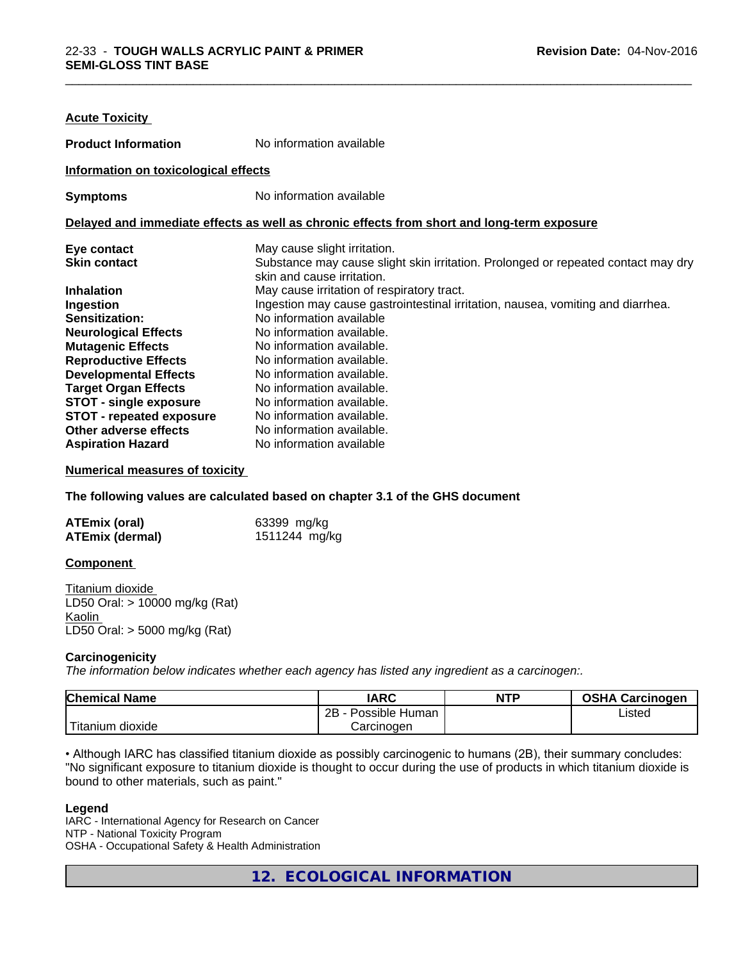| <b>Acute Toxicity</b>                |                                                                                            |
|--------------------------------------|--------------------------------------------------------------------------------------------|
| <b>Product Information</b>           | No information available                                                                   |
| Information on toxicological effects |                                                                                            |
| <b>Symptoms</b>                      | No information available                                                                   |
|                                      | Delayed and immediate effects as well as chronic effects from short and long-term exposure |
| Eye contact                          | May cause slight irritation.                                                               |
| <b>Skin contact</b>                  | Substance may cause slight skin irritation. Prolonged or repeated contact may dry          |
|                                      | skin and cause irritation.                                                                 |
| <b>Inhalation</b>                    | May cause irritation of respiratory tract.                                                 |
| Ingestion                            | Ingestion may cause gastrointestinal irritation, nausea, vomiting and diarrhea.            |
| <b>Sensitization:</b>                | No information available                                                                   |
| <b>Neurological Effects</b>          | No information available.                                                                  |
| <b>Mutagenic Effects</b>             | No information available.                                                                  |
| <b>Reproductive Effects</b>          | No information available.                                                                  |
| <b>Developmental Effects</b>         | No information available.                                                                  |
| <b>Target Organ Effects</b>          | No information available.                                                                  |
| <b>STOT - single exposure</b>        | No information available.                                                                  |
| <b>STOT - repeated exposure</b>      | No information available.                                                                  |
| Other adverse effects                | No information available.                                                                  |
| <b>Aspiration Hazard</b>             | No information available                                                                   |

#### **Numerical measures of toxicity**

**The following values are calculated based on chapter 3.1 of the GHS document**

| ATEmix (oral)          | 63399 mg/kg   |
|------------------------|---------------|
| <b>ATEmix (dermal)</b> | 1511244 mg/kg |

#### **Component**

Titanium dioxide LD50 Oral: > 10000 mg/kg (Rat) Kaolin LD50 Oral: > 5000 mg/kg (Rat)

#### **Carcinogenicity**

*The information below indicateswhether each agency has listed any ingredient as a carcinogen:.*

| <b>Chemical Name</b>                                                                                                                                     | <b>IARC</b>          | <b>NTP</b> | <b>OSHA Carcinogen</b> |
|----------------------------------------------------------------------------------------------------------------------------------------------------------|----------------------|------------|------------------------|
|                                                                                                                                                          | 2B<br>Possible Human |            | Listed                 |
| <b>The Contract of the Contract of the Contract of the Contract of the Contract of the Contract of the Contract o</b><br>m dioxide<br>$\sim$<br>∖itaniun | Carcinogen           |            |                        |

• Although IARC has classified titanium dioxide as possibly carcinogenic to humans (2B), their summary concludes: "No significant exposure to titanium dioxide is thought to occur during the use of products in which titanium dioxide is bound to other materials, such as paint."

#### **Legend**

IARC - International Agency for Research on Cancer NTP - National Toxicity Program OSHA - Occupational Safety & Health Administration

**12. ECOLOGICAL INFORMATION**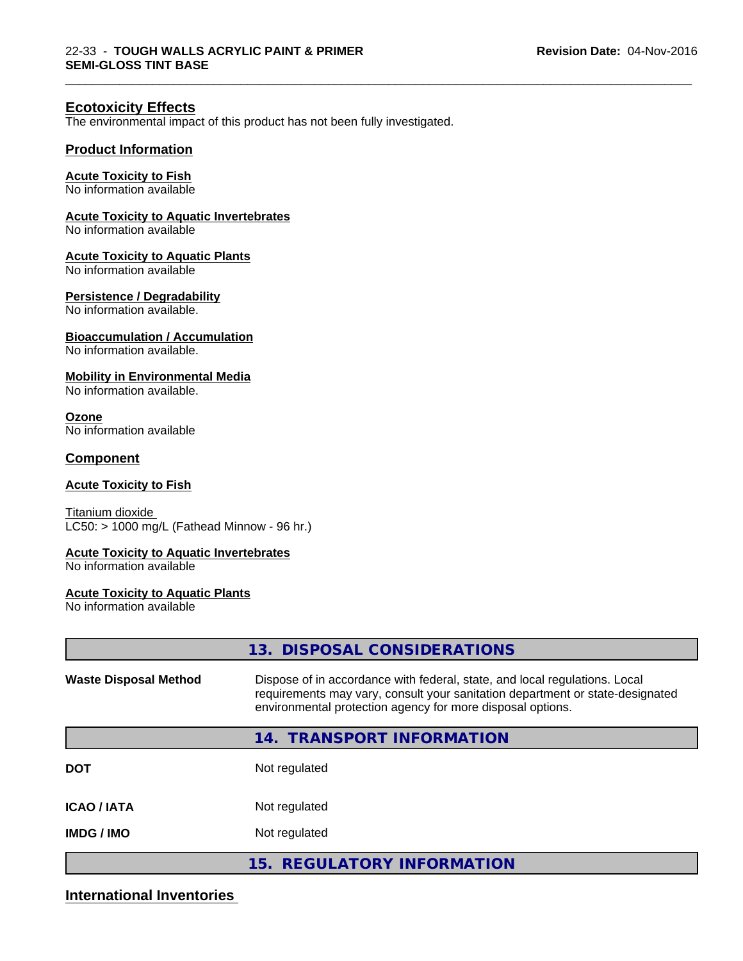\_\_\_\_\_\_\_\_\_\_\_\_\_\_\_\_\_\_\_\_\_\_\_\_\_\_\_\_\_\_\_\_\_\_\_\_\_\_\_\_\_\_\_\_\_\_\_\_\_\_\_\_\_\_\_\_\_\_\_\_\_\_\_\_\_\_\_\_\_\_\_\_\_\_\_\_\_\_\_\_\_\_\_\_\_\_\_\_\_\_\_\_\_

## **Ecotoxicity Effects**

The environmental impact of this product has not been fully investigated.

## **Product Information**

#### **Acute Toxicity to Fish**

No information available

## **Acute Toxicity to Aquatic Invertebrates**

No information available

#### **Acute Toxicity to Aquatic Plants**

No information available

#### **Persistence / Degradability**

No information available.

#### **Bioaccumulation / Accumulation**

No information available.

### **Mobility in Environmental Media**

No information available.

## **Ozone**

No information available

### **Component**

#### **Acute Toxicity to Fish**

Titanium dioxide  $LC50:$  > 1000 mg/L (Fathead Minnow - 96 hr.)

#### **Acute Toxicity to Aquatic Invertebrates**

No information available

#### **Acute Toxicity to Aquatic Plants**

No information available

|                              | 13. DISPOSAL CONSIDERATIONS                                                                                                                                                                                               |
|------------------------------|---------------------------------------------------------------------------------------------------------------------------------------------------------------------------------------------------------------------------|
| <b>Waste Disposal Method</b> | Dispose of in accordance with federal, state, and local regulations. Local<br>requirements may vary, consult your sanitation department or state-designated<br>environmental protection agency for more disposal options. |
|                              | <b>TRANSPORT INFORMATION</b><br>14.                                                                                                                                                                                       |
| <b>DOT</b>                   | Not regulated                                                                                                                                                                                                             |
| <b>ICAO/IATA</b>             | Not regulated                                                                                                                                                                                                             |
| <b>IMDG/IMO</b>              | Not regulated                                                                                                                                                                                                             |
|                              | 15. REGULATORY INFORMATION                                                                                                                                                                                                |

## **International Inventories**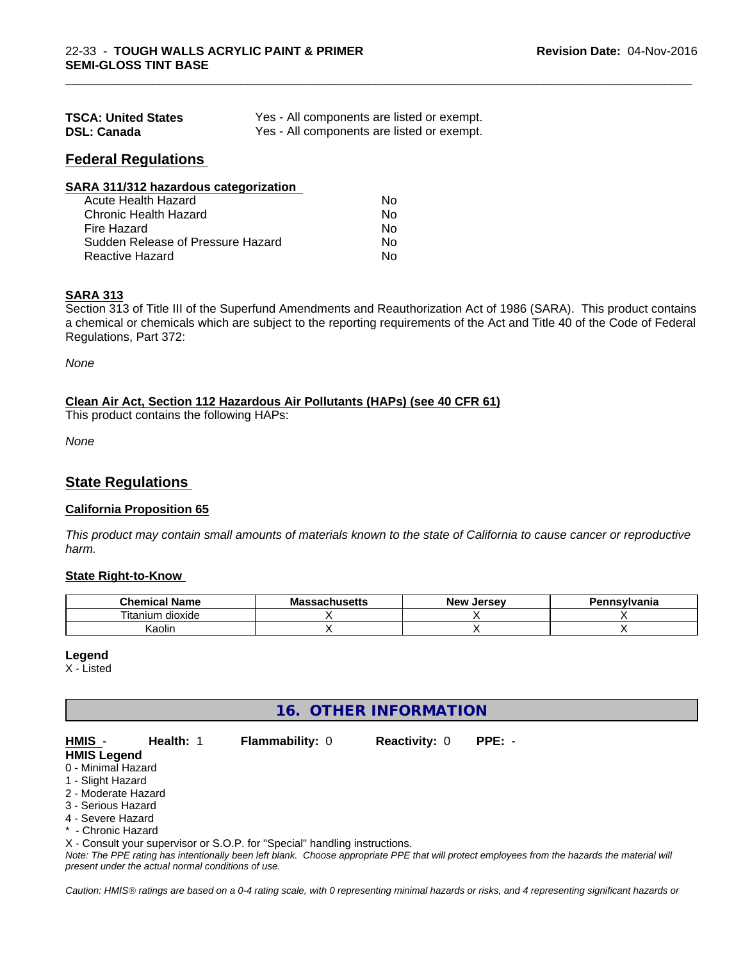| <b>TSCA: United States</b> | Yes - All components are listed or exempt. |
|----------------------------|--------------------------------------------|
| <b>DSL: Canada</b>         | Yes - All components are listed or exempt. |

## **Federal Regulations**

| SARA 311/312 hazardous categorization |    |  |
|---------------------------------------|----|--|
| Acute Health Hazard                   | Nο |  |
| Chronic Health Hazard                 | Nο |  |
| Fire Hazard                           | No |  |
| Sudden Release of Pressure Hazard     | Nο |  |
| <b>Reactive Hazard</b>                | Nο |  |

## **SARA 313**

Section 313 of Title III of the Superfund Amendments and Reauthorization Act of 1986 (SARA). This product contains a chemical or chemicals which are subject to the reporting requirements of the Act and Title 40 of the Code of Federal Regulations, Part 372:

\_\_\_\_\_\_\_\_\_\_\_\_\_\_\_\_\_\_\_\_\_\_\_\_\_\_\_\_\_\_\_\_\_\_\_\_\_\_\_\_\_\_\_\_\_\_\_\_\_\_\_\_\_\_\_\_\_\_\_\_\_\_\_\_\_\_\_\_\_\_\_\_\_\_\_\_\_\_\_\_\_\_\_\_\_\_\_\_\_\_\_\_\_

*None*

#### **Clean Air Act,Section 112 Hazardous Air Pollutants (HAPs) (see 40 CFR 61)**

This product contains the following HAPs:

*None*

## **State Regulations**

#### **California Proposition 65**

This product may contain small amounts of materials known to the state of California to cause cancer or reproductive *harm.*

#### **State Right-to-Know**

| Chemica<br>Name                           | aahucatte<br>IVIA<br>.saunus <del>c</del> us | <b>Jerse</b> v<br>Nev <sub>.</sub> | Pennsvlvania |
|-------------------------------------------|----------------------------------------------|------------------------------------|--------------|
| --<br>.<br>dioxide<br>um<br><b>Itanit</b> |                                              |                                    |              |
| .<br>$\epsilon$<br>Kaolin                 |                                              |                                    |              |

#### **Legend**

X - Listed

## **16. OTHER INFORMATION**

| HMIS -              | <b>Health: 1</b> | <b>Flammability: 0</b> | <b>Reactivity: 0</b> | PPE: - |  |
|---------------------|------------------|------------------------|----------------------|--------|--|
| <b>HMIS Legend</b>  |                  |                        |                      |        |  |
| 0 - Minimal Hazard  |                  |                        |                      |        |  |
| 1 - Slight Hazard   |                  |                        |                      |        |  |
| 2 - Moderate Hazard |                  |                        |                      |        |  |

- 3 Serious Hazard
- 4 Severe Hazard
- \* Chronic Hazard

X - Consult your supervisor or S.O.P. for "Special" handling instructions.

*Note: The PPE rating has intentionally been left blank. Choose appropriate PPE that will protect employees from the hazards the material will present under the actual normal conditions of use.*

*Caution: HMISÒ ratings are based on a 0-4 rating scale, with 0 representing minimal hazards or risks, and 4 representing significant hazards or*